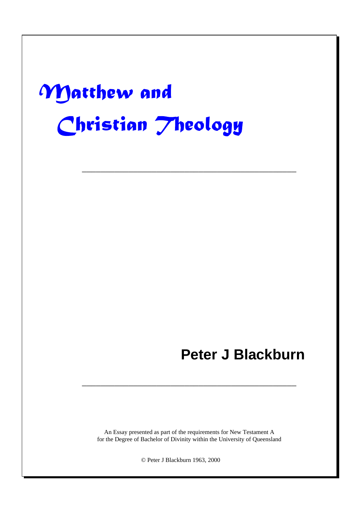# -

# **Peter J Blackburn**

An Essay presented as part of the requirements for New Testament A for the Degree of Bachelor of Divinity within the University of Queensland

––––––––––––––––––––––––––––––––––––––––––––––

––––––––––––––––––––––––––––––––––––––––––––––

© Peter J Blackburn 1963, 2000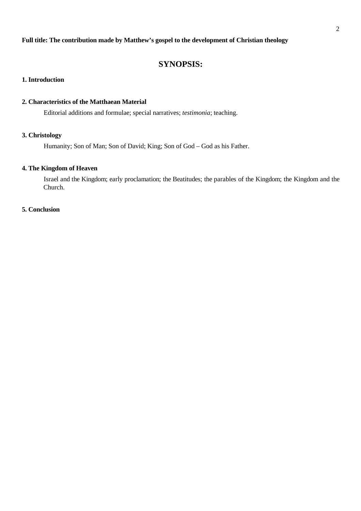#### **Full title: The contribution made by Matthew's gospel to the development of Christian theology**

# **SYNOPSIS:**

#### **1. Introduction**

#### **2. Characteristics of the Matthaean Material**

Editorial additions and formulae; special narratives; *testimonia*; teaching.

#### **3. Christology**

Humanity; Son of Man; Son of David; King; Son of God – God as his Father.

# **4. The Kingdom of Heaven**

Israel and the Kingdom; early proclamation; the Beatitudes; the parables of the Kingdom; the Kingdom and the Church.

#### **5. Conclusion**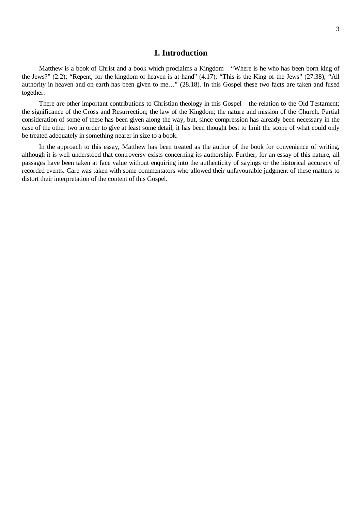#### **1. Introduction**

Matthew is a book of Christ and a book which proclaims a Kingdom – "Where is he who has been born king of the Jews?" (2.2); "Repent, for the kingdom of heaven is at hand" (4.17); "This is the King of the Jews" (27.38); "All authority in heaven and on earth has been given to me…" (28.18). In this Gospel these two facts are taken and fused together.

There are other important contributions to Christian theology in this Gospel – the relation to the Old Testament; the significance of the Cross and Resurrection; the law of the Kingdom; the nature and mission of the Church. Partial consideration of some of these has been given along the way, but, since compression has already been necessary in the case of the other two in order to give at least some detail, it has been thought best to limit the scope of what could only be treated adequately in something nearer in size to a book.

In the approach to this essay, Matthew has been treated as the author of the book for convenience of writing, although it is well understood that controversy exists concerning its authorship. Further, for an essay of this nature, all passages have been taken at face value without enquiring into the authenticity of sayings or the historical accuracy of recorded events. Care was taken with some commentators who allowed their unfavourable judgment of these matters to distort their interpretation of the content of this Gospel.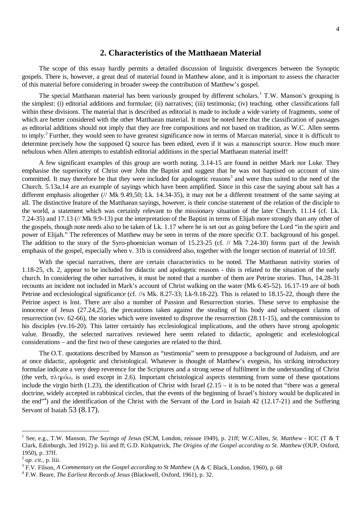#### **2. Characteristics of the Matthaean Material**

The scope of this essay hardly permits a detailed discussion of linguistic divergences between the Synoptic gospels. There is, however, a great deal of material found in Matthew alone, and it is important to assess the character of this material before considering in broader sweep the contribution of Matthew's gospel.

The special Matthaean material has been variously grouped by different scholars.<sup>1</sup> T.W. Manson's grouping is the simplest: (i) editorial additions and formulae; (ii) narratives; (iii) testimonia; (iv) teaching. other classifications fall within these divisions. The material that is described as editorial is made to include a wide variety of fragments, some of which are better considered with the other Matthaean material. It must be noted here that the classification of passages as editorial additions should not imply that they are free compositions and not based on tradition, as W.C. Allen seems to imply.<sup>2</sup> Further, they would seen to have greatest significance now in terms of Marcan material, since it is difficult to determine precisely how the supposed Q source has been edited, even if it was a manuscript source. How much more nebulous when Allen attempts to establish editorial additions in the special Matthaean material itself!

A few significant examples of this group are worth noting. 3.14-15 are found in neither Mark nor Luke. They emphasise the superiority of Christ over John the Baptist and suggest that he was not baptised on account of sins committed. It may therefore be that they were included for apologetic reasons<sup>3</sup> and were thus suited to the need of the Church. 5.13a,14 are an example of sayings which have been amplified. Since in this case the saying about salt has a different emphasis altogether (// Mk 9.49,50; Lk. 14.34-35), it may not be a different treatment of the same saying at all. The distinctive feature of the Matthaean sayings, however, is their concise statement of the relation of the disciple to the world, a statement which was certainly relevant to the missionary situation of the later Church. 11.14 (cf. Lk. 7.24-35) and 17.13 (// Mk 9.9-13) put the interpretation of the Baptist in terms of Elijah more strongly than any other of the gospels, though note needs also to be taken of Lk. 1.17 where he is set out as going before the Lord "in the spirit and power of Elijah." The references of Matthew may be seen in terms of the more specific O.T. background of his gospel. The addition to the story of the Syro-phoenician woman of 15.23-25 (cf. // Mk 7.24-30) forms part of the Jewish emphasis of the gospel, especially when v. 31b is considered also, together with the longer section of material of 10.5ff.

With the special narratives, there are certain characteristics to be noted. The Matthaean nativity stories of 1.18-25, ch. 2, appear to be included for didactic and apologetic reasons - this is related to the situation of the early church. In considering the other narratives, it must be noted that a number of them are Petrine stories. Thus, 14.28-31 recounts an incident not included in Mark's account of Christ walking on the water (Mk 6.45-52). 16.17-19 are of both Petrine and ecclesiological significance (cf. //s Mk. 8.27-33; Lk-9.18-22). This is related to 18.15-22, though there the Petrine aspect is lost. There are also a number of Passion and Resurrection stories. These serve to emphasise the innocence of Jesus (27.24,25), the precautions taken against the stealing of his body and subsequent claims of resurrection (vv. 62-66), the stories which were invented to disprove the resurrection (28.11-15), and the commission to his disciples (vv.16-20). This latter certainly has ecclesiological implications, and the others have strong apologetic value. Broadly, the selected narratives reviewed here seem related to didactic, apologetic and ecelesiological considerations – and the first two of these categories are related to the third.

The O.T. quotations described by Manson as "testimonia" seem to presuppose a background of Judaism, and are at once didactic, apologetic and christological. Whatever is thought of Matthew's exegesis, his striking introductory formulae indicate a very deep reverence for the Scriptures and a strong sense of fulfilment in the understanding of Christ (the verb,  $\pi\lambda\eta\rho\delta\omega$ , is used except in 2.6). Important christological aspects stemming from some of these quotations include the virgin birth (1.23), the identification of Christ with Israel (2.15 – it is to be noted that "there was a general doctrine, widely accepted in rabbinical circles, that the events of the beginning of Israel's history would be duplicated in the end" 4 ) and the identification of the Christ with the Servant of the Lord in Isaiah 42 (12.17-21) and the Suffering Servant of Isaiah 53 (8.17).

<sup>1</sup> See, e.g., T.W. Manson, *The Sayings of Jesus* (SCM, London, reissue 1949), p. 21ff; W.C.Allen, *St. Matthew* - ICC (T & T Clark, Edinburgh, 3ed 1912) p. liii and ff; G.D. Kirkpatrick, *The Origins of the Gospel according to St. Matthew* (OUP, Oxford, 1950), p. 37ff.

<sup>2</sup> o*p. cit.*, p. liii.

<sup>3</sup> F.V. Filson, *A Commentary on the Gospel according to St Matthew* (A & C Black, London, 1960), p. 68

<sup>4</sup> F.W. Beare, *The Earliest Records of Jesus* (Blackwell, Oxford, 1961), p. 32.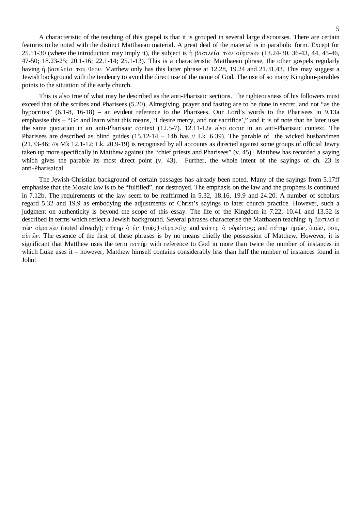A characteristic of the teaching of this gospel is that it is grouped in several large discourses. There are certain features to be noted with the distinct Matthaean material. A great deal of the material is in parabolic form. Except for 25.11-30 (where the introduction may imply it), the subject is  $\eta$   $\beta$ ασιλεία τών ούρανών (13.24-30, 36-43, 44, 45-46, 47-50; 18.23-25; 20.1-16; 22.1-14; 25.1-13). This is a characteristic Matthaean phrase, the other gospels regularly having  $\eta$   $\beta$ ασιλεία του θεου. Matthew only has this latter phrase at 12.28, 19.24 and 21.31,43. This may suggest a Jewish background with the tendency to avoid the direct use of the name of God. The use of so many Kingdom-parables points to the situation of the early church.

This is also true of what may be described as the anti-Pharisaic sections. The righteousness of his followers must exceed that of the scribes and Pharisees (5.20). Almsgiving, prayer and fasting are to be done in secret, and not "as the hypocrites" (6.1-8, 16-18) – an evident reference to the Pharisees. Our Lord's words to the Pharisees in 9.13a emphasise this – "Go and learn what this means, 'I desire mercy, and not sacrifice'," and it is of note that he later uses the same quotation in an anti-Pharisaic context (12.5-7). 12.11-12a also occur in an anti-Pharisaic context. The Pharisees are described as blind guides (15.12-14 – 14b has // Lk. 6.39). The parable of the wicked husbandmen (21.33-46; //s Mk 12.1-12; Lk. 20.9-19) is recognised by all accounts as directed against some groups of official Jewry taken up more specifically in Matthew against the "chief priests and Pharisees" (v. 45). Matthew has recorded a saying which gives the parable its most direct point (v. 43). Further, the whole intent of the sayings of ch. 23 is anti-Pharisaical.

The Jewish-Christian background of certain passages has already been noted. Many of the sayings from 5.17ff emphasise that the Mosaic law is to be "fulfilled", not destroyed. The emphasis on the law and the prophets is continued in 7.12b. The requirements of the law seem to be reaffirmed in 5.32, 18.16, 19.9 and 24.20. A number of scholars regard 5.32 and 19.9 as embodying the adjustments of Christ's sayings to later church practice. However, such a judgment on authenticity is beyond the scope of this essay. The life of the Kingdom in 7.22, 10.41 and 13.52 is described in terms which reflect a Jewish background. Several phrases characterise the Matthaean teaching:  $\eta$   $\beta \alpha \sigma \lambda \epsilon (\alpha)$ τῶν οὐρανῶν (noted already); πάτηρ ὁ ἐν (τοῖς) οὐρανοῖς and πάτηρ ὁ οὐράνιος; and πάτηρ ἡμῶν, ὑμῶν, σου,  $\alpha\dot{\beta}$  The essence of the first of these phrases is by no means chiefly the possession of Matthew. However, it is significant that Matthew uses the term  $\pi \alpha \tau \gamma_0$  with reference to God in more than twice the number of instances in which Luke uses it – however, Matthew himself contains considerably less than half the number of instances found in John!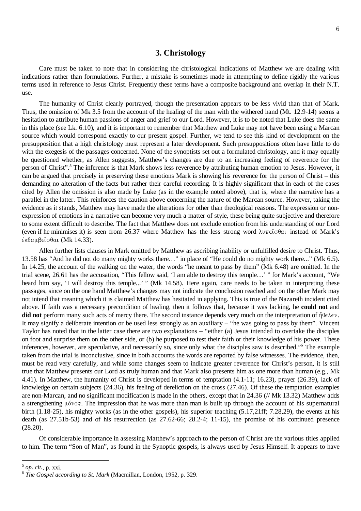#### **3. Christology**

Care must be taken to note that in considering the christological indications of Matthew we are dealing with indications rather than formulations. Further, a mistake is sometimes made in attempting to define rigidly the various terms used in reference to Jesus Christ. Frequently these terms have a composite background and overlap in their N.T. use.

The humanity of Christ clearly portrayed, though the presentation appears to be less vivid than that of Mark. Thus, the omission of Mk 3.5 from the account of the healing of the man with the withered hand (Mt. 12.9-14) seems a hesitation to attribute human passions of anger and grief to our Lord. However, it is to be noted that Luke does the same in this place (see Lk. 6.10), and it is important to remember that Matthew and Luke may not have been using a Marcan source which would correspond exactly to our present gospel. Further, we tend to see this kind of development on the presupposition that a high christology must represent a later development. Such presuppositions often have little to do with the exegesis of the passages concerned. None of the synoptists set out a formulated christology, and it may equally be questioned whether, as Allen suggests, Matthew's changes are due to an increasing feeling of reverence for the person of Christ".<sup>5</sup> The inference is that Mark shows less reverence by attributing human emotion to Jesus. However, it can be argued that precisely in preserving these emotions Mark is showing his reverence for the person of Christ – this demanding no alteration of the facts but rather their careful recording. It is highly significant that in each of the cases cited by Allen the omission is also made by Luke (as in the example noted above), that is, where the narrative has a parallel in the latter. This reinforces the caution above concerning the nature of the Marcan source. However, taking the evidence as it stands, Matthew may have made the alterations for other than theological reasons. The expression or nonexpression of emotions in a narrative can become very much a matter of style, these being quite subjective and therefore to some extent difficult to describe. The fact that Matthew does not exclude emotion from his understanding of our Lord (even if he minimises it) is seen from 26.37 where Matthew has the less strong word  $\lambda v \pi \epsilon \hat{i} \sigma \theta \alpha i$  instead of Mark's ἐκθαμβεῖσθαι (Mk 14.33).

Allen further lists clauses in Mark omitted by Matthew as ascribing inability or unfulfilled desire to Christ. Thus, 13.58 has "And he did not do many mighty works there…" in place of "He could do no mighty work there..." (Mk 6.5). In 14.25, the account of the walking on the water, the words "he meant to pass by them" (Mk 6.48) are omitted. In the trial scene, 26.61 has the accusation, "This fellow said, 'I am able to destroy this temple…' " for Mark's account, "We heard him say, 'I will destroy this temple...' " (Mk 14.58). Here again, care needs to be taken in interpreting these passages, since on the one hand Matthew's changes may not indicate the conclusion reached and on the other Mark may not intend that meaning which it is claimed Matthew has hesitated in applying. This is true of the Nazareth incident cited above. If faith was a necessary precondition of healing, then it follows that, because it was lacking, he **could not** and **did not** perform many such acts of mercy there. The second instance depends very much on the interpretation of  $\eta \theta \in \lambda \in \nu$ . It may signify a deliberate intention or be used less strongly as an auxiliary – "he was going to pass by them". Vincent Taylor has noted that in the latter case there are two explanations – "either (a) Jesus intended to overtake the disciples on foot and surprise them on the other side, or (b) he purposed to test their faith or their knowledge of his power. These inferences, however, are speculative, and necessarily so, since only what the disciples saw is described."<sup>6</sup> The example taken from the trial is inconclusive, since in both accounts the words are reported by false witnesses. The evidence, then, must be read very carefully, and while some changes seem to indicate greater reverence for Christ's person, it is still true that Matthew presents our Lord as truly human and that Mark also presents him as one more than human (e.g., Mk 4.41). In Matthew, the humanity of Christ is developed in terms of temptation (4.1-11; 16.23), prayer (26.39), lack of knowledge on certain subjects (24.36), his feeling of dereliction on the cross (27.46). Of these the temptation examples are non-Marcan, and no significant modification is made in the others, except that in 24.36 (// Mk 13.32) Matthew adds a strengthening  $\mu\phi\nu$  as impression that he was more than man is built up through the account of his supernatural birth (1.18-25), his mighty works (as in the other gospels), his superior teaching (5.17,21ff; 7.28,29), the events at his death (as 27.51b-53) and of his resurrection (as 27.62-66; 28.2-4; 11-15), the promise of his continued presence (28.20).

Of considerable importance in assessing Matthew's approach to the person of Christ are the various titles applied to him. The term "Son of Man", as found in the Synoptic gospels, is always used by Jesus Himself. It appears to have

<sup>5</sup> *op. cit.*, p. xxi.

<sup>6</sup> *The Gospel according to St. Mark* (Macmillan, London, 1952, p. 329.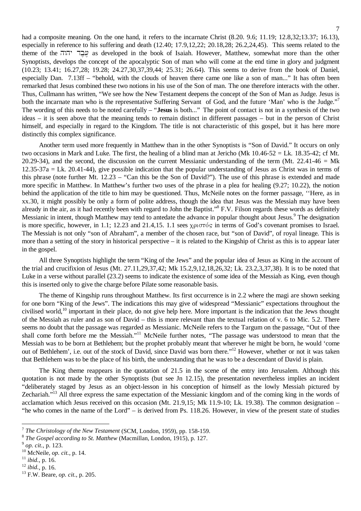had a composite meaning. On the one hand, it refers to the incarnate Christ (8.20, 9.6; 11.19; 12.8,32;13.37; 16.13), especially in reference to his suffering and death (12.40; 17.9,12,22; 20.18,28; 26.2,24,45). This seems related to the theme of the "נְבֶד יהוה as developed in the book of Isaiah. However, Matthew, somewhat more than the other Synoptists, develops the concept of the apocalyptic Son of man who will come at the end time in glory and judgment (10.23; 13.41; 16.27,28; 19.28; 24.27,30,37,39,44; 25.31; 26.64). This seems to derive from the book of Daniel, especially Dan. 7.13ff – "behold, with the clouds of heaven there came one like a son of man..." It has often been remarked that Jesus combined these two notions in his use of the Son of man. The one therefore interacts with the other. Thus, Cullmann has written, "We see how the New Testament deepens the concept of the Son of Man as Judge. Jesus is both the incarnate man who is the representative Suffering Servant of God, and the future 'Man' who is the Judge."<sup>7</sup> The wording of this needs to be noted carefully – "**Jesus** is both..." The point of contact is not in a synthesis of the two ideas – it is seen above that the meaning tends to remain distinct in different passages – but in the person of Christ himself, and especially in regard to the Kingdom. The title is not characteristic of this gospel, but it has here more distinctly this complex significance.

Another term used more frequently in Matthew than in the other Synoptists is "Son of David." It occurs on only two occasions in Mark and Luke. The first, the healing of a blind man at Jericho (Mk 10.46-52 = Lk. 18.35-42; cf Mt. 20.29-34), and the second, the discussion on the current Messianic understanding of the term (Mt. 22.41-46 = Mk  $12.35-37a = Lk$ . 20.41-44), give possible indication that the popular understanding of Jesus as Christ was in terms of this phrase (note further Mt. 12.23 – "Can this be the Son of David?"). The use of this phrase is extended and made more specific in Matthew. In Matthew's further two uses of the phrase in a plea for healing (9.27; 10.22), the notion behind the application of the title to him may be questioned. Thus, McNeile notes on the former passage, ''Here, as in xx.30, it might possibly be only a form of polite address, though the idea that Jesus was the Messiah may have been already in the air, as it had recently been with regard to John the Baptist."<sup>8</sup> F.V. Filson regards these words as definitely Messianic in intent, though Matthew may tend to antedate the advance in popular thought about Jesus.<sup>9</sup> The designation is more specific, however, in 1.1; 12.23 and 21.4,15. 1.1 sees  $\chi$  $\beta$ u  $\sigma\tau$ ós in terms of God's covenant promises to Israel. The Messiah is not only "son of Abraham", a member of the chosen race, but "son of David", of royal lineage. This is more than a setting of the story in historical perspective – it is related to the Kingship of Christ as this is to appear later in the gospel.

All three Synoptists highlight the term "King of the Jews" and the popular idea of Jesus as King in the account of the trial and crucifixion of Jesus (Mt. 27.11,29,37,42; Mk 15.2,9,12,18,26,32; Lk. 23.2,3,37,38). It is to be noted that Luke in a verse without parallel (23.2) seems to indicate the existence of some idea of the Messiah as King, even though this is inserted only to give the charge before Pilate some reasonable basis.

The theme of Kingship runs throughout Matthew. Its first occurrence is in 2.2 where the magi are shown seeking for one born "King of the Jews". The indications this may give of widespread "Messianic" expectations throughout the civilised world,<sup>10</sup> important in their place, do not give help here. More important is the indication that the Jews thought of the Messiah as ruler and as son of David – this is more relevant than the textual relation of v. 6 to Mic. 5.2. There seems no doubt that the passage was regarded as Messianic. McNeile refers to the Targum on the passage, "Out of thee shall come forth before me the Messiah."<sup>11</sup> McNeile further notes, "The passage was understood to mean that the Messiah was to be born at Bethlehem; but the prophet probably meant that wherever he might be born, he would 'come out of Bethlehem', i.e. out of the stock of David, since David was born there."<sup>12</sup> However, whether or not it was taken that Bethlehem was to be the place of his birth, the understanding that he was to be a descendant of David is plain.

The King theme reappears in the quotation of 21.5 in the scene of the entry into Jerusalem. Although this quotation is not made by the other Synoptists (but see Jn 12.15), the presentation nevertheless implies an incident "deliberately staged by Jesus as an object-lesson in his conception of himself as the lowly Messiah pictured by Zechariah."<sup>13</sup> All three express the same expectation of the Messianic kingdom and of the coming king in the words of acclamation which Jesus received on this occasion (Mt. 21.9,15; Mk 11.9-10; Lk. 19.38). The common designation – "he who comes in the name of the Lord" – is derived from Ps. 118.26. However, in view of the present state of studies

<sup>7</sup> *The Christology of the New Testament* (SCM, London, 1959), pp. 158-159.

<sup>8</sup> *The Gospel according to St. Matthew* (Macmillan, London, 1915), p. 127.

<sup>9</sup> *op. cit.*, p. 123.

<sup>10</sup> McNeile, *op. cit.*, p. 14.

<sup>11</sup> *ibid.*, p. 16.

<sup>12</sup> *ibid.*, p. 16.

<sup>13</sup> F.W. Beare, *op. cit.*, p. 205.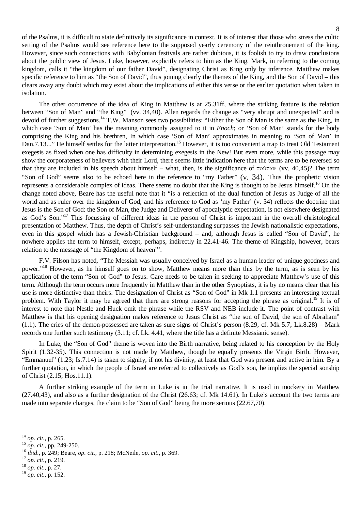of the Psalms, it is difficult to state definitively its significance in context. It is of interest that those who stress the cultic setting of the Psalms would see reference here to the supposed yearly ceremony of the reinthronement of the king. However, since such connections with Babylonian festivals are rather dubious, it is foolish to try to draw conclusions about the public view of Jesus. Luke, however, explicitly refers to him as the King. Mark, in referring to the coming kingdom, calls it "the kingdom of our father David", designating Christ as King only by inference. Matthew makes specific reference to him as "the Son of David", thus joining clearly the themes of the King, and the Son of David – this clears away any doubt which may exist about the implications of either this verse or the earlier quotation when taken in isolation.

The other occurrence of the idea of King in Matthew is at 25.31ff, where the striking feature is the relation between "Son of Man" and "the King" (vv. 34,40). Allen regards the change as "very abrupt and unexpected" and is devoid of further suggestions.<sup>14</sup> T.W. Manson sees two possibilities: "Either the Son of Man is the same as the King, in which case 'Son of Man' has the meaning commonly assigned to it in *Enoch*; or 'Son of Man' stands for the body comprising the King and his brethren, In which case 'Son of Man' approximates in meaning to 'Son of Man' in Dan.7.13..." He himself settles for the latter interpretation.<sup>15</sup> However, it is too convenient a trap to treat Old Testament exegesis as fixed when one has difficulty in determining exegesis in the New! But even more, while this passage may show the corporateness of believers with their Lord, there seems little indication here that the terms are to be reversed so that they are included in his speech about himself – what, then, is the significance of  $\tau \omega \nu$  (vv. 40,45)? The term "Son of God" seems also to be echoed here in the reference to "my Father" (v. 34). Thus the prophetic vision represents a considerable complex of ideas. There seems no doubt that the King is thought to be Jesus himself.<sup>16</sup> On the change noted above, Beare has the useful note that it "is a reflection of the dual function of Jesus as Judge of all the world and as ruler over the kingdom of God; and his reference to God as 'my Father' (v. 34) reflects the doctrine that Jesus is the Son of God: the Son of Man, the Judge and Deliverer of apocalyptic expectation, is not elsewhere designated as God's Son."<sup>17</sup> This focussing of different ideas in the person of Christ is important in the overall christological presentation of Matthew. Thus, the depth of Christ's self-understanding surpasses the Jewish nationalistic expectations, even in this gospel which has a Jewish-Christian background – and, although Jesus is called "Son of David", he nowhere applies the term to himself, except, perhaps, indirectly in 22.41-46. The theme of Kingship, however, bears relation to the message of "the Kingdom of heaven"'.

F.V. Filson has noted, "The Messiah was usually conceived by Israel as a human leader of unique goodness and power."<sup>18</sup> However, as he himself goes on to show, Matthew means more than this by the term, as is seen by his application of the term "Son of God" to Jesus. Care needs to be taken in seeking to appreciate Matthew's use of this term. Although the term occurs more frequently in Matthew than in the other Synoptists, it is by no means clear that his use is more distinctive than theirs. The designation of Christ as "Son of God" in Mk 1.1 presents an interesting textual problem. With Taylor it may be agreed that there are strong reasons for accepting the phrase as original.<sup>19</sup> It is of interest to note that Nestle and Huck omit the phrase while the RSV and NEB include it. The point of contrast with Matthew is that his opening designation makes reference to Jesus Christ as "the son of David, the son of Abraham"  $(1.1)$ . The cries of the demon-possessed are taken as sure signs of Christ's person  $(8.29, cf. Mk 5.7; Lk.8.28)$  – Mark records one further such testimony (3.11; cf. Lk. 4.41, where the title has a definite Messianic sense).

In Luke, the "Son of God" theme is woven into the Birth narrative, being related to his conception by the Holy Spirit (1.32-35). This connection is not made by Matthew, though he equally presents the Virgin Birth. However, "Emmanuel" (1.23; Is.7.14) is taken to signify, if not his divinity, at least that God was present and active in him. By a further quotation, in which the people of Israel are referred to collectively as God's son, he implies the special sonship of Christ (2.15; Hos.11.1).

A further striking example of the term in Luke is in the trial narrative. It is used in mockery in Matthew (27.40,43), and also as a further designation of the Christ (26.63; cf. Mk 14.61). In Luke's account the two terms are made into separate charges, the claim to be "Son of God" being the more serious (22.67,70).

 $\overline{a}$ 

<sup>18</sup> *op. cit.*, p. 27.

<sup>14</sup> *op. cit.*, p. 265.

<sup>15</sup> *op. cit.*, pp. 249-250.

<sup>16</sup> *ibid*., p. 249; Beare, *op. cit.*, p. 218; McNeile, *op. cit.*, p. 369.

<sup>17</sup> *op. cit.*, p. 219.

<sup>19</sup> *op. cit.*, p. 152.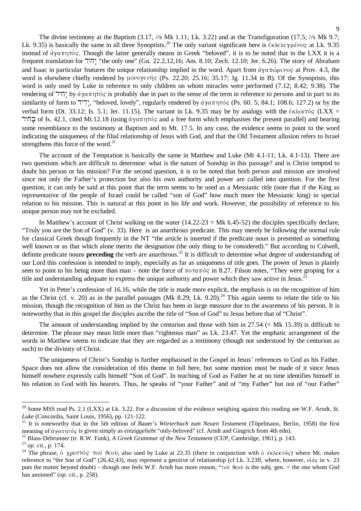The divine testimony at the Baptism (3.17, //s Mk 1.11; Lk. 3.22) and at the Transfiguration (17.5; //s Mk 9.7; Lk. 9.35) is basically the same in all three Synoptists.<sup>20</sup> The only variant significant here is  $\epsilon \kappa \lambda \epsilon \lambda \epsilon \gamma \mu \epsilon \nu o_S$  at Lk. 9.35 instead of  $\dot{\alpha}$   $\gamma$  $\alpha$  $\pi$  $\eta$  $\tau$  $\dot{\alpha}$ . Though the latter generally means in Greek "beloved", it is to be noted that in the LXX it is a frequent translation for "the only one" (Gn. 22.2,12,16; Am. 8.10; Zech. 12.10; Jer. 6.26). The story of Abraham and Isaac in particular features the unique relationship implied in the word. Apart from  $\dot{q}$   $\gamma$  $\alpha$  $\pi$  $\dot{\omega}$  $\alpha$ e $\nu$ os at Prov. 4.3, the word is elsewhere chiefly rendered by  $\mu$ <sub>0</sub> $\nu$ <sup>o</sup> $\nu$ <sup>i</sup>  $\kappa$ <sup>o</sup> (Ps. 22.20; 25.16; 35.17; Jg. 11.34 in B). Of the Synoptists, this word is only used by Luke in reference to only children on whom miracles were performed (7.12; 8.42; 9.38). The rendering of  $\overline{U}$  by άγαπητός is probably due in part to the sense of the term in reference to persons and in part to its similarity of form to "יְדָי, "beloved, lovely", regularly rendered by  $\dot{\alpha} \gamma \alpha \pi \eta \tau$  (Ps. 60. 5; 84.1; 108.6; 127.2) or by the verbal form (Dt. 33.12; Is. 5.1; Jer. 11.15). The variant in Lk. 9.35 may be by analogy with the  $\epsilon \kappa \lambda \epsilon \kappa \tau \delta s$  (LXX = בְחֹיר of Is. 42.1, cited Mt.12.18 (using άγαπητός and a free form which emphasises the present parallel) and bearing some resemblance to the testimony at Baptism and to Mt. 17.5. In any case, the evidence seems to point to the word indicating the uniqueness of the filial relationship of Jesus with God, and that the Old Testament allusion refers to Israel strengthens this force of the word. $^{21}$ 

The account of the Temptation is basically the same in Matthew and Luke (Mt 4.1-11; Lk. 4.1-13). There are two questions which are difficult to determine: what is the nature of Sonship in this passage? and is Christ tempted to doubt his person or his mission? For the second question, it is to be noted that both person and mission are involved since not only the Father's protection but also his own authority and power are called into question. For the first question, it can only be said at this point that the term seems to be used as a Messianic title (note that if the King as representative of the people of Israel could be called "son of God" how much more the Messianic king) in special relation to his mission. This is natural at this point in his life and work. However, the possibility of reference to his unique person may not be excluded.

In Matthew's account of Christ walking on the water  $(14.22-23 = Mk 6.45-52)$  the disciples specifically declare, "Truly you are the Son of God" (v. 33). Here is an anarthrous predicate. This may merely be following the normal rule for classical Greek though frequently in the NT "the article is inserted if the predicate noun is presented as something well known or as that which alone merits the designation (the only thing to be considered)." But according to Colwell, definite predicate nouns **preceding** the verb are anarthrous. <sup>22</sup> It is difficult to determine what degree of understanding of our Lord this confession is intended to imply, especially as far as uniqueness of title goes. The power of Jesus is plainly seen to point to his being more than man – note the force of  $\pi$ o $\pi$  $\alpha$  $\pi$ <sup>o</sup> in 8.27. Filson notes, "They were groping for a title and understanding adequate to express the unique authority and power which they saw active in Jesus.<sup>23</sup>

Yet in Peter's confession of 16.16, while the title is made more explicit, the emphasis is on the recognition of him as the Christ (cf. v. 20) as in the parallel passages (Mk 8.29; Lk. 9.20).<sup>24</sup> This again seems to relate the title to his mission, though the recognition of him as the Christ has been in large measure due to the awareness of his person. It is noteworthy that in this gospel the disciples ascribe the title of "Son of God" to Jesus before that of "Christ".

The amount of understanding implied by the centurion and those with him in  $27.54$  (= Mk 15.39) is difficult to determine. The phrase may mean little more than "righteous man" as Lk. 23.47. Yet the emphatic arrangement of the words in Matthew seems to indicate that they are regarded as a testimony (though not understood by the centurion as such) to the divinity of Christ.

The uniqueness of Christ's Sonship is further emphasised in the Gospel in Jesus' references to God as his Father. Space does not allow the consideration of this theme in full here, but some mention must be made of it since Jesus himself nowhere expressly calls himself "Son of God". In teaching of God as Father he at no time identifies himself in his relation to God with his hearers. Thus, he speaks of "your Father" and of "my Father" but not of "our Father"

<sup>&</sup>lt;sup>20</sup> Some MSS read Ps. 2.1 (LXX) at Lk. 3.22. For a discussion of the evidence weighing against this reading see W.F. Arndt, *St*. *Luke* (Concordia, Saint Louis, 1956), pp. 121-122.

<sup>21</sup> It is noteworthy that in the 5th edition of Bauer's *Wörterbuch zum Neuen Testament* (Töpelmann, Berlin, 1958) the first meaning of άγαπητός is given simply as *einziggeliebt* "only-beloved" (cf. Arndt and Gingrich from 4th edn).

<sup>22</sup> Blass-Debrunner (tr. R.W. Funk), *A Greek Grammar of the New Testament* (CUP, Cambridge, 1961), p. 143.

<sup>23</sup> *op. cit.*, p. 174.

<sup>&</sup>lt;sup>24</sup> The phrase,  $\dot{\text{o}}$  χριστ $\dot{\text{o}}$ ς του θεου, also used by Luke at 23.35 (there in conjunction with  $\dot{\text{o}}$  έκλεκτός) where Mt. makes reference to "the Son of God" (26.42,43), may represent a genitive of relationship (cf Lk. 3.23ff, where, however, vuos in v. 23 puts the matter beyond doubt) – though one feels W.F. Arndt has more reason, " $\tau$ où  $\theta \in \partial \tilde{v}$  is the subj. gen. = the one whom God has anointed" (*op. cit.*, p. 258).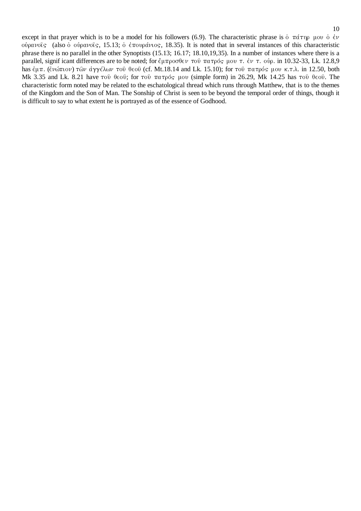except in that prayer which is to be a model for his followers (6.9). The characteristic phrase is  $\phi \pi \alpha \tau_{\text{up}}$   $\mu_{\text{ov}} \phi \phi$ oὐρανοῖς (also ὁ οὐρανοῖς, 15.13; ὁ ἐπουράνιος, 18.35). It is noted that in several instances of this characteristic phrase there is no parallel in the other Synoptists (15.13; 16.17; 18.10,19,35). In a number of instances where there is a parallel, signif icant differences are to be noted; for ἔμπροσθεν τοῦ πατρός μου τ. ἐν τ. οὐρ. in 10.32-33, Lk. 12.8,9 has έμπ. (ἐνώπιον) τῶν ἀγγέλων τοῦ θεοῦ (cf. Mt.18.14 and Lk. 15.10); for τοῦ πατρός μου κ.τ.λ. in 12.50, both Mk 3.35 and Lk. 8.21 have τοῦ θεοῦ; for τοῦ πατρός μου (simple form) in 26.29, Mk 14.25 has τοῦ θεοῦ. The characteristic form noted may be related to the eschatological thread which runs through Matthew, that is to the themes of the Kingdom and the Son of Man. The Sonship of Christ is seen to be beyond the temporal order of things, though it is difficult to say to what extent he is portrayed as of the essence of Godhood.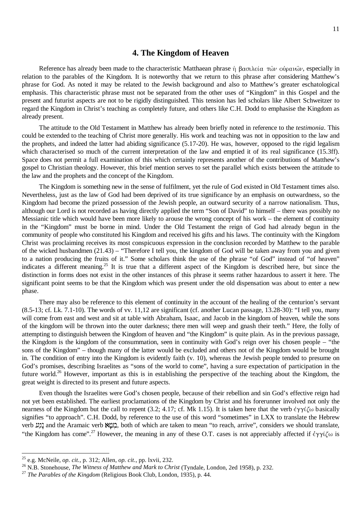#### **4. The Kingdom of Heaven**

Reference has already been made to the characteristic Matthaean phrase  $\eta$  βασιλεία τών ούρανών, especially in relation to the parables of the Kingdom. It is noteworthy that we return to this phrase after considering Matthew's phrase for God. As noted it may be related to the Jewish background and also to Matthew's greater eschatological emphasis. This characteristic phrase must not be separated from the other uses of "Kingdom" in this Gospel and the present and futurist aspects are not to be rigidly distinguished. This tension has led scholars like Albert Schweitzer to regard the Kingdom in Christ's teaching as completely future, and others like C.H. Dodd to emphasise the Kingdom as already present.

The attitude to the Old Testament in Matthew has already been briefly noted in reference to the *testimonia*. This could be extended to the teaching of Christ more generally. His work and teaching was not in opposition to the law and the prophets, and indeed the latter had abiding significance (5.17-20). He was, however, opposed to the rigid legalism which characterised so much of the current interpretation of the law and emptied it of its real significance (15.3ff). Space does not permit a full examination of this which certainly represents another of the contributions of Matthew's gospel to Christian theology. However, this brief mention serves to set the parallel which exists between the attitude to the law and the prophets and the concept of the Kingdom.

The Kingdom is something new in the sense of fulfilment, yet the rule of God existed in Old Testament times also. Nevertheless, just as the law of God had been deprived of its true significance by an emphasis on outwardness, so the Kingdom had become the prized possession of the Jewish people, an outward security of a narrow nationalism. Thus, although our Lord is not recorded as having directly applied the term "Son of David" to himself – there was possibly no Messianic title which would have been more likely to arouse the wrong concept of his work – the element of continuity in the "Kingdom" must be borne in mind. Under the Old Testament the reign of God had already begun in the community of people who constituted his Kingdom and received his gifts and his laws. The continuity with the Kingdom Christ was proclaiming receives its most conspicuous expression in the conclusion recorded by Matthew to the parable of the wicked husbandmen (21.43) – "Therefore I tell you, the kingdom of God will be taken away from you and given to a nation producing the fruits of it." Some scholars think the use of the phrase "of God" instead of "of heaven" indicates a different meaning.<sup>25</sup> It is true that a different aspect of the Kingdom is described here, but since the distinction in forms does not exist in the other instances of this phrase it seems rather hazardous to assert it here. The significant point seems to be that the Kingdom which was present under the old dispensation was about to enter a new phase.

There may also be reference to this element of continuity in the account of the healing of the centurion's servant  $(8.5-13; \text{ cf. Lk. } 7.1-10)$ . The words of vv. 11,12 are significant (cf. another Lucan passage, 13.28-30): "I tell you, many will come from east and west and sit at table with Abraham, Isaac, and Jacob in the kingdom of heaven, while the sons of the kingdom will be thrown into the outer darkness; there men will weep and gnash their teeth." Here, the folly of attempting to distinguish between the Kingdom of heaven and "the Kingdom" is quite plain. As in the previous passage, the Kingdom is the kingdom of the consummation, seen in continuity with God's reign over his chosen people – "the sons of the Kingdom" – though many of the latter would be excluded and others not of the Kingdom would be brought in. The condition of entry into the Kingdom is evidently faith (v. 10), whereas the Jewish people tended to presume on God's promises, describing Israelites as "sons of the world to come", having a sure expectation of participation in the future world.<sup>26</sup> However, important as this is in establishing the perspective of the teaching about the Kingdom, the great weight is directed to its present and future aspects.

Even though the Israelites were God's chosen people, because of their rebellion and sin God's effective reign had not yet been established. The earliest proclamations of the Kingdom by Christ and his forerunner involved not only the nearness of the Kingdom but the call to repent (3.2; 4.17; cf. Mk 1.15). It is taken here that the verb  $\epsilon \gamma \gamma i \zeta \omega$  basically signifies "to approach". C.H. Dodd, by reference to the use of this word "sometimes" in LXX to translate the Hebrew verb נגש and the Aramaic verb שמא, both of which are taken to mean "to reach, arrive", considers we should translate, "the Kingdom has come".<sup>27</sup> However, the meaning in any of these O.T. cases is not appreciably affected if  $\epsilon \gamma \gamma \zeta \omega$  is

<sup>25</sup> e.g. McNeile, *op. cit.*, p. 312; Allen, *op. cit.*, pp. lxvii, 232.

<sup>&</sup>lt;sup>26</sup> N.B. Stonehouse, *The Witness of Matthew and Mark to Christ* (Tyndale, London, 2ed 1958), p. 232.

<sup>27</sup> *The Parables of the Kingdom* (Religious Book Club, London, 1935), p. 44.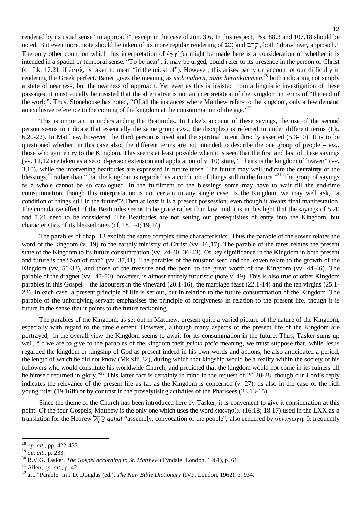rendered by its usual sense "to approach", except in the case of Jon. 3.6. In this respect, Pss. 88.3 and 107.18 should be noted. But even more, note should be taken of its more regular rendering of  $\mathbb{Z}$  and  $\mathbb{Z}$ , both "draw near, approach." The only other count on which this interpretation of  $\epsilon y \gamma \zeta \omega$  might be made here is a consideration of whether it is intended in a spatial or temporal sense. "To be near", it may be urged, could refer to its presence in the person of Christ (cf. Lk. 17.21, if  $\epsilon \nu \tau$  is taken to mean "in the midst of"). However, this arises partly on account of our difficulty in rendering the Greek perfect. Bauer gives the meaning as *sich nähern*, *nahe herankommen*, <sup>28</sup> both indicating not simply a state of nearness, but the nearness of approach. Yet even as this is insisted from a linguistic investigation of these passages, it must equally be insisted that the alternative is not an interpretation of the Kingdom in terms of "the end of the world". Thus, Stonehouse has noted, "Of all the instances where Matthew refers to the kingdom, only a few demand an exclusive reference to the coming of the kingdom at the consummation of the age." $^{29}$ 

This is important in understanding the Beatitudes. In Luke's account of these sayings, the use of the second person seems to indicate that essentially the same group (*viz.*, the disciples) is referred to under different terms (Lk. 6.20-22). In Matthew, however, the third person is used and the spiritual intent directly asserted (5.3-10). It is to be questioned whether, in this case also, the different terms are not intended to describe the one group of people  $- viz$ . those who gain entry to the Kingdom. This seems at least possible when it is seen that the first and last of these sayings (vv. 11,12 are taken as a second-person extension and application of v. 10) state, "Theirs is the kingdom of heaven" (vv. 3,10), while the intervening beatitudes are expressed in future tense. The future may well indicate the **certainty** of the blessings,<sup>30</sup> rather than "that the kingdom is regarded as a condition of things still in the future."<sup>31</sup> The group of sayings as a whole cannot be so catalogued. In the fulfilment of the blessings some may have to wait till the end-time comsummation, though this interpretation is not certain in any single case. Is the Kingdom, we may well ask, "a condition of things still in the future"? Then at least it is a present possession, even though it awaits final manifestation. The cumulative effect of the Beatitudes seems to be grace rather than law, and it is in this light that the sayings of 5.20 and 7.21 need to be considered. The Beatitudes are not setting out prerequisites of entry into the Kingdom, but characteristics of its blessed ones (cf. 18.1-4; 19.14).

The parables of chap. 13 exhibit the same complex time characteristics. Thus the parable of the sower relates the word of the kingdom (v. 19) to the earthly ministry of Christ (vv. 16,17). The parable of the tares relates the present state of the Kingdom to its future consummation (vv. 24-30, 36-43). Of key significance in the Kingdom in both present and future is the "Son of man" (vv. 37,41). The parables of the mustard seed and the leaven relate to the growth of the Kingdom (vv. 51-33), and those of the treasure and the pearl to the great worth of the Kingdom (vv. 44-46). The parable of the dragnet (vv. 47-50), however, is almost entirely futuristic (note v. 49). This is also true of other Kingdom parables in this Gospel – the labourers in the vineyard (20.1-16), the marriage feast (22.1-14) and the ten virgins (25.1- 23). In each case, a present principle of life is set out, but in relation to the future consummation of the Kingdom. The parable of the unforgiving servant emphasises the principle of forgiveness in relation to the present life, though it is future in the sense that it points to the future reckoning.

The parables of the Kingdom, as set out in Matthew, present quite a varied picture of the nature of the Kingdom, especially with regard to the time element. However, although many aspects of the present life of the Kingdom are portrayed, in the overall view the Kingdom seems to await for its consummation in the future. Thus, Tasker sums up well, "If we are to give to the parables of the kingdom their *prima facie* meaning, we must suppose that, while Jesus regarded the kingdom or kingship of God as present indeed in his own words and actions, he also anticipated a period, the length of which he did not know (Mk xiii.32), during which that kingship would be a reality within the society of his followers who would constitute his worldwide Church, and predicted that the kingdom would not come in its fulness till he himself returned in glory."<sup>32</sup> This latter fact is certainly in mind in the request of 20.20-28, though our Lord's reply indicates the relevance of the present life as far as the Kingdom is concerned (v. 27), as also in the case of the rich young ruler (19.16ff) or by contrast in the proselytising activities of the Pharisees (23.13-15).

Since the theme of the Church has been introduced here by Tasker, it is convenient to give it consideration at this point. Of the four Gospels, Matthew is the only one which uses the word  $\epsilon_{Kk}$   $\eta$  of a (16.18; 18.17) used in the LXX as a translation for the Hebrew  $\overline{D}$ <sub>V</sub> *qahal* "assembly, convocation of the people", also rendered by συναγωγή. It frequently

<sup>28</sup> *op. cit.*, pp. 422-433.

<sup>29</sup> *op. cit.*, p. 233.

<sup>30</sup> R.V.G. Tasker, *The Gospel according to St. Matthew* (Tyndale, London, 1961), p. 61.

<sup>31</sup> Allen, *op. cit.*, p. 42.

<sup>32</sup> art. "Parable" in J.D. Douglas (ed.), *The New Bible Dictionary* (IVF, London, 1962), p. 934.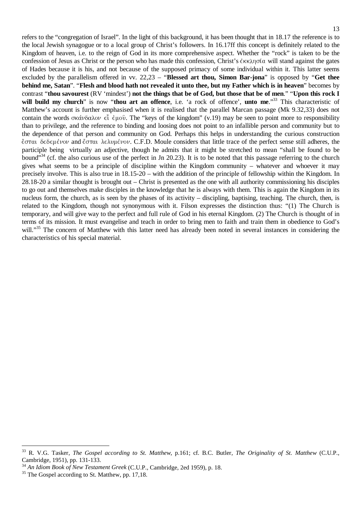refers to the "congregation of Israel". In the light of this background, it has been thought that in 18.17 the reference is to the local Jewish synagogue or to a local group of Christ's followers. In 16.17ff this concept is definitely related to the Kingdom of heaven, i.e. to the reign of God in its more comprehensive aspect. Whether the "rock" is taken to be the confession of Jesus as Christ or the person who has made this confession, Christ's  $\epsilon \kappa \lambda \eta \sigma (\alpha$  will stand against the gates of Hades because it is his, and not because of the supposed primacy of some individual within it. This latter seems excluded by the parallelism offered in vv. 22,23 – "**Blessed art thou, Simon Bar-jona**" is opposed by "**Get thee behind me, Satan**". "**Flesh and blood hath not revealed it unto thee, but my Father which is in heaven**" becomes by contrast "**thou savourest** (RV 'mindest') **not the things that be of God, but those that be of men**." "**Upon this rock I will build my church**" is now "**thou art an offence**, i.e. 'a rock of offence', **unto me**." <sup>33</sup> This characteristic of Matthew's account is further emphasised when it is realised that the parallel Marcan passage (Mk 9.32,33) does not contain the words  $\sigma$ κάνδαλον  $\epsilon \hat{i}$  έμοῦ. The "keys of the kingdom" (v.19) may be seen to point more to responsibility than to privilege, and the reference to binding and loosing does not point to an infallible person and community but to the dependence of that person and community on God. Perhaps this helps in understanding the curious construction έσται δεδεμένον and έσται λελυμένον. C.F.D. Moule considers that little trace of the perfect sense still adheres, the participle being virtually an adjective, though he admits that it might be stretched to mean "shall be found to be bound"<sup>34</sup> (cf. the also curious use of the perfect in Jn 20.23). It is to be noted that this passage referring to the church gives what seems to be a principle of discipline within the Kingdom community – whatever and whoever it may precisely involve. This is also true in 18.15-20 – with the addition of the principle of fellowship within the Kingdom. In 28.18-20 a similar thought is brought out – Christ is presented as the one with all authority commissioning his disciples to go out and themselves make disciples in the knowledge that he is always with them. This is again the Kingdom in its nucleus form, the church, as is seen by the phases of its activity – discipling, baptising, teaching. The church, then, is related to the Kingdom, though not synonymous with it. Filson expresses the distinction thus: "(1) The Church is temporary, and will give way to the perfect and full rule of God in his eternal Kingdom. (2) The Church is thought of in terms of its mission. It must evangelise and teach in order to bring men to faith and train them in obedience to God's will."<sup>35</sup> The concern of Matthew with this latter need has already been noted in several instances in considering the characteristics of his special material.

<sup>33</sup> R. V.G. Tasker, *The Gospel according to St. Matthew*, p.161; cf. B.C. Butler, *The Originality of St. Matthew* (C.U.P., Cambridge, 1951), pp. 131-133.

<sup>34</sup> *An Idiom Book of New Testament Greek* (C.U.P., Cambridge, 2ed 1959), p. 18.

<sup>&</sup>lt;sup>35</sup> The Gospel according to St. Matthew, pp. 17,18.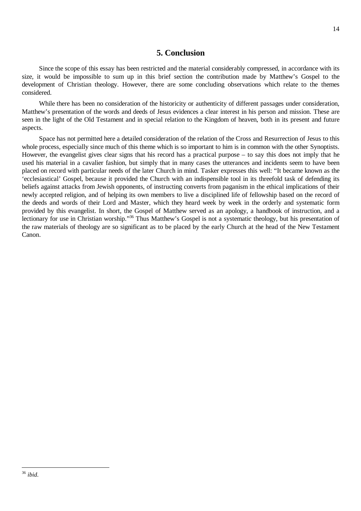## **5. Conclusion**

Since the scope of this essay has been restricted and the material considerably compressed, in accordance with its size, it would be impossible to sum up in this brief section the contribution made by Matthew's Gospel to the development of Christian theology. However, there are some concluding observations which relate to the themes considered.

While there has been no consideration of the historicity or authenticity of different passages under consideration, Matthew's presentation of the words and deeds of Jesus evidences a clear interest in his person and mission. These are seen in the light of the Old Testament and in special relation to the Kingdom of heaven, both in its present and future aspects.

Space has not permitted here a detailed consideration of the relation of the Cross and Resurrection of Jesus to this whole process, especially since much of this theme which is so important to him is in common with the other Synoptists. However, the evangelist gives clear signs that his record has a practical purpose – to say this does not imply that he used his material in a cavalier fashion, but simply that in many cases the utterances and incidents seem to have been placed on record with particular needs of the later Church in mind. Tasker expresses this well: "It became known as the 'ecclesiastical' Gospel, because it provided the Church with an indispensible tool in its threefold task of defending its beliefs against attacks from Jewish opponents, of instructing converts from paganism in the ethical implications of their newly accepted religion, and of helping its own members to live a disciplined life of fellowship based on the record of the deeds and words of their Lord and Master, which they heard week by week in the orderly and systematic form provided by this evangelist. In short, the Gospel of Matthew served as an apology, a handbook of instruction, and a lectionary for use in Christian worship."<sup>36</sup> Thus Matthew's Gospel is not a systematic theology, but his presentation of the raw materials of theology are so significant as to be placed by the early Church at the head of the New Testament Canon.